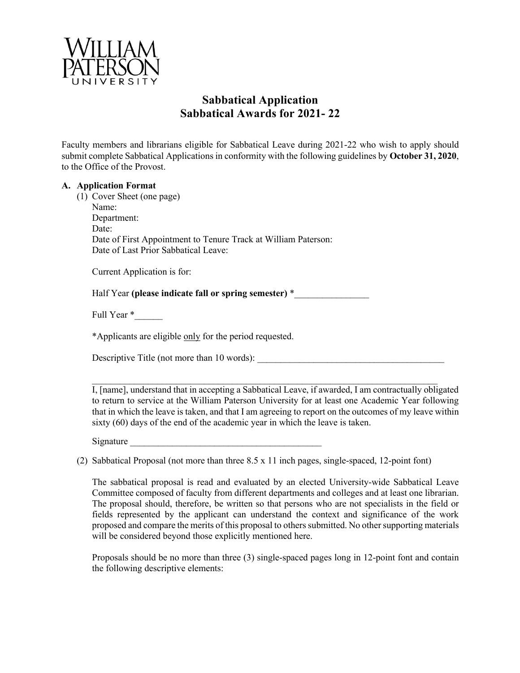

## **Sabbatical Application Sabbatical Awards for 2021- 22**

Faculty members and librarians eligible for Sabbatical Leave during 2021-22 who wish to apply should submit complete Sabbatical Applications in conformity with the following guidelines by **October 31, 2020**, to the Office of the Provost.

## **A. Application Format**

(1) Cover Sheet (one page)

Name: Department: Date: Date of First Appointment to Tenure Track at William Paterson: Date of Last Prior Sabbatical Leave:

Current Application is for:

Half Year **(please indicate fall or spring semester)** \*\_\_\_\_\_\_\_\_\_\_\_\_\_\_\_\_

Full Year \*\_\_\_\_\_\_

\*Applicants are eligible only for the period requested.

Descriptive Title (not more than  $10$  words):

I, [name], understand that in accepting a Sabbatical Leave, if awarded, I am contractually obligated to return to service at the William Paterson University for at least one Academic Year following that in which the leave is taken, and that I am agreeing to report on the outcomes of my leave within sixty (60) days of the end of the academic year in which the leave is taken.

 $\mathcal{L}_\text{max} = \frac{1}{2} \sum_{i=1}^n \mathcal{L}_\text{max}(\mathbf{x}_i - \mathbf{y}_i)$ 

Signature

(2) Sabbatical Proposal (not more than three 8.5 x 11 inch pages, single-spaced, 12-point font)

The sabbatical proposal is read and evaluated by an elected University-wide Sabbatical Leave Committee composed of faculty from different departments and colleges and at least one librarian. The proposal should, therefore, be written so that persons who are not specialists in the field or fields represented by the applicant can understand the context and significance of the work proposed and compare the merits of this proposal to others submitted. No other supporting materials will be considered beyond those explicitly mentioned here.

Proposals should be no more than three (3) single-spaced pages long in 12-point font and contain the following descriptive elements: